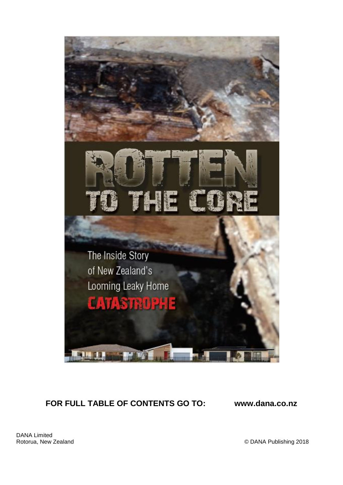

# **FOR FULL TABLE OF CONTENTS GO TO: www.dana.co.nz**

DANA Limited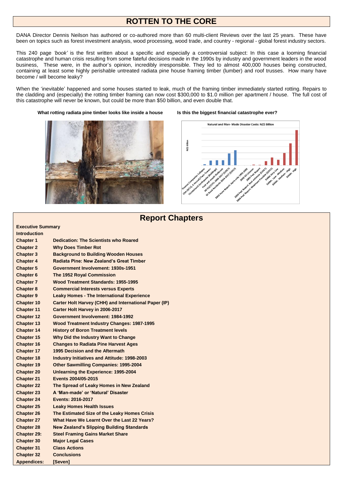## **ROTTEN TO THE CORE**

DANA Director Dennis Neilson has authored or co-authored more than 60 multi-client Reviews over the last 25 years. These have been on topics such as forest investment analysis, wood processing, wood trade, and country - regional - global forest industry sectors.

This 240 page *'book'* is the first written about a specific and especially a controversial subject: In this case a looming financial catastrophe and human crisis resulting from some fateful decisions made in the 1990s by industry and government leaders in the wood business, These were, in the author's opinion, incredibly irresponsible. They led to almost 400,000 houses being constructed, containing at least some highly perishable untreated radiata pine house framing timber (lumber) and roof trusses. How many have become / will become leaky?

When the 'inevitable' happened and some houses started to leak, much of the framing timber immediately started rotting. Repairs to the cladding and (especially) the rotting timber framing can now cost \$300,000 to \$1.0 million per apartment / house. The full cost of this catastrophe will never be known, but could be more than \$50 billion, and even double that.

What rotting radiata pine timber looks like inside a house ls this the biggest financial catastrophe ever?





|                          | <b>Report Chapters</b>                                |
|--------------------------|-------------------------------------------------------|
| <b>Executive Summary</b> |                                                       |
| Introduction             |                                                       |
| <b>Chapter 1</b>         | <b>Dedication: The Scientists who Roared</b>          |
| <b>Chapter 2</b>         | <b>Why Does Timber Rot</b>                            |
| <b>Chapter 3</b>         | <b>Background to Building Wooden Houses</b>           |
| <b>Chapter 4</b>         | Radiata Pine: New Zealand's Great Timber              |
| <b>Chapter 5</b>         | Government Involvement: 1930s-1951                    |
| <b>Chapter 6</b>         | The 1952 Royal Commission                             |
| <b>Chapter 7</b>         | Wood Treatment Standards: 1955-1995                   |
| <b>Chapter 8</b>         | <b>Commercial Interests versus Experts</b>            |
| <b>Chapter 9</b>         | <b>Leaky Homes - The International Experience</b>     |
| <b>Chapter 10</b>        | Carter Holt Harvey (CHH) and International Paper (IP) |
| <b>Chapter 11</b>        | Carter Holt Harvey in 2006-2017                       |
| <b>Chapter 12</b>        | Government Involvement: 1984-1992                     |
| Chapter 13               | <b>Wood Treatment Industry Changes: 1987-1995</b>     |
| <b>Chapter 14</b>        | <b>History of Boron Treatment levels</b>              |
| <b>Chapter 15</b>        | Why Did the Industry Want to Change                   |
| <b>Chapter 16</b>        | <b>Changes to Radiata Pine Harvest Ages</b>           |
| <b>Chapter 17</b>        | 1995 Decision and the Aftermath                       |
| Chapter 18               | <b>Industry Initiatives and Attitude: 1998-2003</b>   |
| <b>Chapter 19</b>        | <b>Other Sawmilling Companies: 1995-2004</b>          |
| <b>Chapter 20</b>        | Unlearning the Experience: 1995-2004                  |
| <b>Chapter 21</b>        | Events 2004/05-2015                                   |
| <b>Chapter 22</b>        | The Spread of Leaky Homes in New Zealand              |
| <b>Chapter 23</b>        | A 'Man-made' or 'Natural' Disaster                    |
| <b>Chapter 24</b>        | Events: 2016-2017                                     |
| <b>Chapter 25</b>        | <b>Leaky Homes Health Issues</b>                      |
| <b>Chapter 26</b>        | The Estimated Size of the Leaky Homes Crisis          |
| <b>Chapter 27</b>        | What Have We Learnt Over the Last 22 Years?           |
| <b>Chapter 28</b>        | <b>New Zealand's Slipping Building Standards</b>      |
| Chapter 29:              | <b>Steel Framing Gains Market Share</b>               |
| <b>Chapter 30</b>        | <b>Maior Legal Cases</b>                              |
| <b>Chapter 31</b>        | <b>Class Actions</b>                                  |

**Chapter 32 Conclusions Appendices: [Seven]**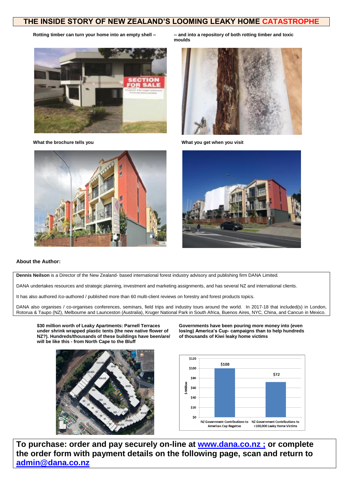### **THE INSIDE STORY OF NEW ZEALAND'S LOOMING LEAKY HOME CATASTROPHE**





**Rotting timber can turn your home into an empty shell – -- and into a repository of both rotting timber and toxic moulds**



What the brochure tells you **What you get when you visit** What you get when you visit



### **About the Author:**

**Dennis Neilson** is a Director of the New Zealand- based international forest industry advisory and publishing firm DANA Limited.

DANA undertakes resources and strategic planning, investment and marketing assignments, and has several NZ and international clients.

It has also authored /co-authored / published more than 60 multi-client reviews on forestry and forest products topics.

DANA also organises / co-organises conferences, seminars, field trips and industry tours around the world. In 2017-18 that included(s) in London, Rotorua & Taupo (NZ), Melbourne and Launceston (Australia), Kruger National Park in South Africa, Buenos Aires, NYC, China, and Cancun in Mexico.

**\$30 million worth of Leaky Apartments: Parnell Terraces under shrink wrapped plastic tents (the new native flower of NZ?). Hundreds/thousands of these buildings have been/are/ will be like this - from North Cape to the Bluff**

**Governments have been pouring more money into (even losing) America's Cup- campaigns than to help hundreds of thousands of Kiwi leaky home victims**





**To purchase: order and pay securely on-line at [www.dana.co.nz](http://www.dana.co.nz/) ; or complete the order form with payment details on the following page, scan and return to [admin@dana.co.nz](mailto:admin@dana.co.nz)**